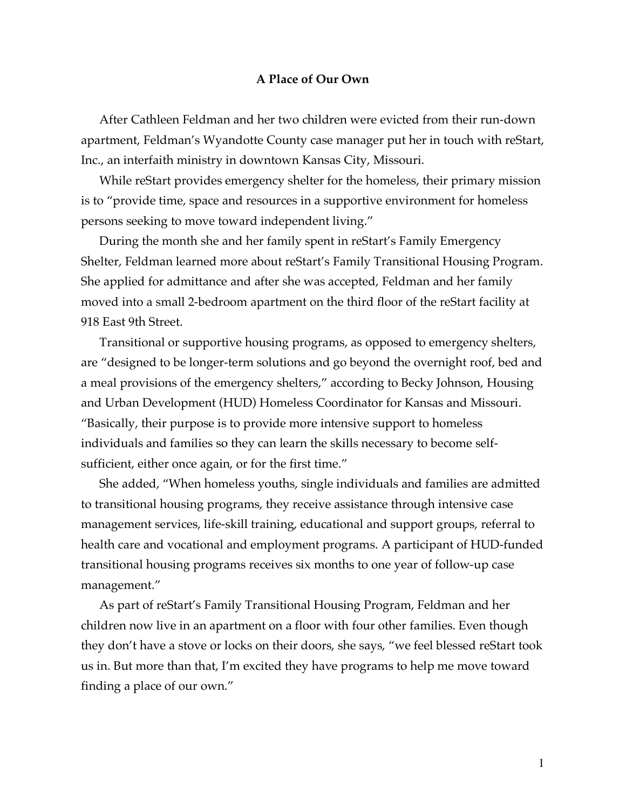## **A Place of Our Own**

After Cathleen Feldman and her two children were evicted from their run-down apartment, Feldman's Wyandotte County case manager put her in touch with reStart, Inc., an interfaith ministry in downtown Kansas City, Missouri.

While reStart provides emergency shelter for the homeless, their primary mission is to "provide time, space and resources in a supportive environment for homeless persons seeking to move toward independent living."

During the month she and her family spent in reStart's Family Emergency Shelter, Feldman learned more about reStart's Family Transitional Housing Program. She applied for admittance and after she was accepted, Feldman and her family moved into a small 2-bedroom apartment on the third floor of the reStart facility at 918 East 9th Street.

Transitional or supportive housing programs, as opposed to emergency shelters, are "designed to be longer-term solutions and go beyond the overnight roof, bed and a meal provisions of the emergency shelters," according to Becky Johnson, Housing and Urban Development (HUD) Homeless Coordinator for Kansas and Missouri. "Basically, their purpose is to provide more intensive support to homeless individuals and families so they can learn the skills necessary to become selfsufficient, either once again, or for the first time."

She added, "When homeless youths, single individuals and families are admitted to transitional housing programs, they receive assistance through intensive case management services, life-skill training, educational and support groups, referral to health care and vocational and employment programs. A participant of HUD-funded transitional housing programs receives six months to one year of follow-up case management."

As part of reStart's Family Transitional Housing Program, Feldman and her children now live in an apartment on a floor with four other families. Even though they don't have a stove or locks on their doors, she says, "we feel blessed reStart took us in. But more than that, I'm excited they have programs to help me move toward finding a place of our own."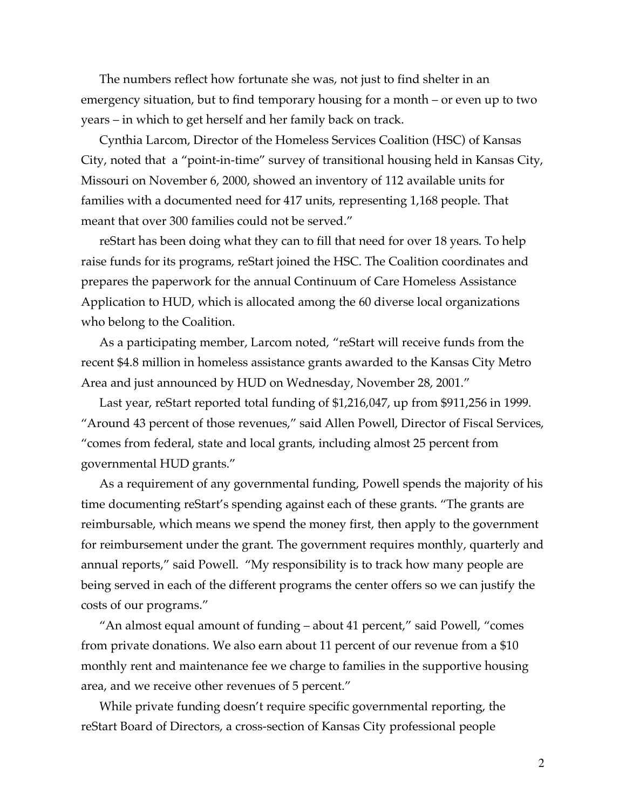The numbers reflect how fortunate she was, not just to find shelter in an emergency situation, but to find temporary housing for a month – or even up to two years – in which to get herself and her family back on track.

Cynthia Larcom, Director of the Homeless Services Coalition (HSC) of Kansas City, noted that a "point-in-time" survey of transitional housing held in Kansas City, Missouri on November 6, 2000, showed an inventory of 112 available units for families with a documented need for 417 units, representing 1,168 people. That meant that over 300 families could not be served."

reStart has been doing what they can to fill that need for over 18 years. To help raise funds for its programs, reStart joined the HSC. The Coalition coordinates and prepares the paperwork for the annual Continuum of Care Homeless Assistance Application to HUD, which is allocated among the 60 diverse local organizations who belong to the Coalition.

As a participating member, Larcom noted, "reStart will receive funds from the recent \$4.8 million in homeless assistance grants awarded to the Kansas City Metro Area and just announced by HUD on Wednesday, November 28, 2001."

Last year, reStart reported total funding of \$1,216,047, up from \$911,256 in 1999. "Around 43 percent of those revenues," said Allen Powell, Director of Fiscal Services, "comes from federal, state and local grants, including almost 25 percent from governmental HUD grants."

As a requirement of any governmental funding, Powell spends the majority of his time documenting reStart's spending against each of these grants. "The grants are reimbursable, which means we spend the money first, then apply to the government for reimbursement under the grant. The government requires monthly, quarterly and annual reports," said Powell. "My responsibility is to track how many people are being served in each of the different programs the center offers so we can justify the costs of our programs."

"An almost equal amount of funding – about 41 percent," said Powell, "comes from private donations. We also earn about 11 percent of our revenue from a \$10 monthly rent and maintenance fee we charge to families in the supportive housing area, and we receive other revenues of 5 percent."

While private funding doesn't require specific governmental reporting, the reStart Board of Directors, a cross-section of Kansas City professional people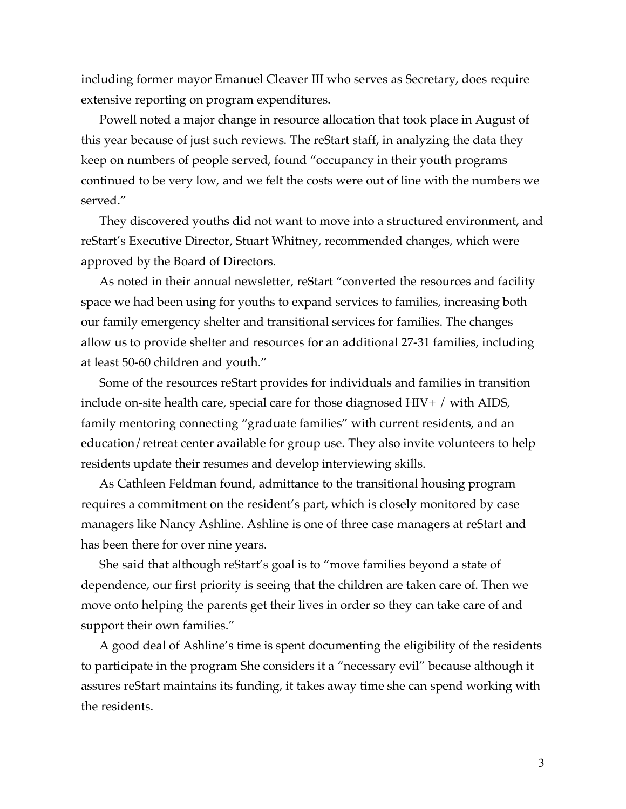including former mayor Emanuel Cleaver III who serves as Secretary, does require extensive reporting on program expenditures.

Powell noted a major change in resource allocation that took place in August of this year because of just such reviews. The reStart staff, in analyzing the data they keep on numbers of people served, found "occupancy in their youth programs continued to be very low, and we felt the costs were out of line with the numbers we served."

They discovered youths did not want to move into a structured environment, and reStart's Executive Director, Stuart Whitney, recommended changes, which were approved by the Board of Directors.

As noted in their annual newsletter, reStart "converted the resources and facility space we had been using for youths to expand services to families, increasing both our family emergency shelter and transitional services for families. The changes allow us to provide shelter and resources for an additional 27-31 families, including at least 50-60 children and youth."

Some of the resources reStart provides for individuals and families in transition include on-site health care, special care for those diagnosed HIV+ / with AIDS, family mentoring connecting "graduate families" with current residents, and an education/retreat center available for group use. They also invite volunteers to help residents update their resumes and develop interviewing skills.

As Cathleen Feldman found, admittance to the transitional housing program requires a commitment on the resident's part, which is closely monitored by case managers like Nancy Ashline. Ashline is one of three case managers at reStart and has been there for over nine years.

She said that although reStart's goal is to "move families beyond a state of dependence, our first priority is seeing that the children are taken care of. Then we move onto helping the parents get their lives in order so they can take care of and support their own families."

A good deal of Ashline's time is spent documenting the eligibility of the residents to participate in the program She considers it a "necessary evil" because although it assures reStart maintains its funding, it takes away time she can spend working with the residents.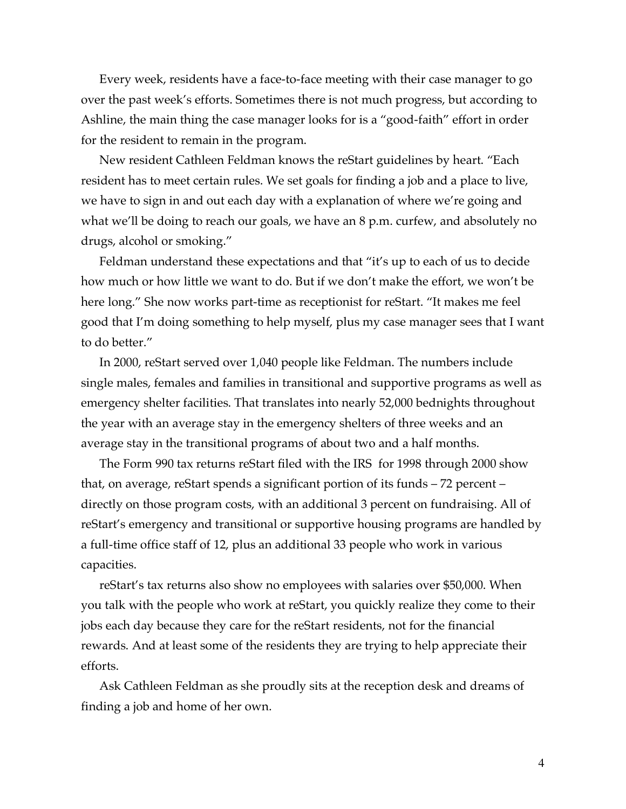Every week, residents have a face-to-face meeting with their case manager to go over the past week's efforts. Sometimes there is not much progress, but according to Ashline, the main thing the case manager looks for is a "good-faith" effort in order for the resident to remain in the program.

New resident Cathleen Feldman knows the reStart guidelines by heart. "Each resident has to meet certain rules. We set goals for finding a job and a place to live, we have to sign in and out each day with a explanation of where we're going and what we'll be doing to reach our goals, we have an 8 p.m. curfew, and absolutely no drugs, alcohol or smoking."

Feldman understand these expectations and that "it's up to each of us to decide how much or how little we want to do. But if we don't make the effort, we won't be here long." She now works part-time as receptionist for reStart. "It makes me feel good that I'm doing something to help myself, plus my case manager sees that I want to do better."

In 2000, reStart served over 1,040 people like Feldman. The numbers include single males, females and families in transitional and supportive programs as well as emergency shelter facilities. That translates into nearly 52,000 bednights throughout the year with an average stay in the emergency shelters of three weeks and an average stay in the transitional programs of about two and a half months.

The Form 990 tax returns reStart filed with the IRS for 1998 through 2000 show that, on average, reStart spends a significant portion of its funds – 72 percent – directly on those program costs, with an additional 3 percent on fundraising. All of reStart's emergency and transitional or supportive housing programs are handled by a full-time office staff of 12, plus an additional 33 people who work in various capacities.

reStart's tax returns also show no employees with salaries over \$50,000. When you talk with the people who work at reStart, you quickly realize they come to their jobs each day because they care for the reStart residents, not for the financial rewards. And at least some of the residents they are trying to help appreciate their efforts.

Ask Cathleen Feldman as she proudly sits at the reception desk and dreams of finding a job and home of her own.